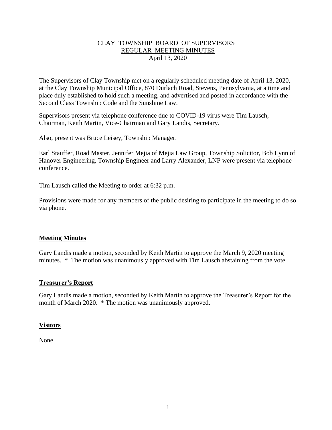# CLAY TOWNSHIP BOARD OF SUPERVISORS REGULAR MEETING MINUTES April 13, 2020

The Supervisors of Clay Township met on a regularly scheduled meeting date of April 13, 2020, at the Clay Township Municipal Office, 870 Durlach Road, Stevens, Pennsylvania, at a time and place duly established to hold such a meeting, and advertised and posted in accordance with the Second Class Township Code and the Sunshine Law.

Supervisors present via telephone conference due to COVID-19 virus were Tim Lausch, Chairman, Keith Martin, Vice-Chairman and Gary Landis, Secretary.

Also, present was Bruce Leisey, Township Manager.

Earl Stauffer, Road Master, Jennifer Mejia of Mejia Law Group, Township Solicitor, Bob Lynn of Hanover Engineering, Township Engineer and Larry Alexander, LNP were present via telephone conference.

Tim Lausch called the Meeting to order at 6:32 p.m.

Provisions were made for any members of the public desiring to participate in the meeting to do so via phone.

# **Meeting Minutes**

Gary Landis made a motion, seconded by Keith Martin to approve the March 9, 2020 meeting minutes. \* The motion was unanimously approved with Tim Lausch abstaining from the vote.

#### **Treasurer's Report**

Gary Landis made a motion, seconded by Keith Martin to approve the Treasurer's Report for the month of March 2020. \* The motion was unanimously approved.

#### **Visitors**

None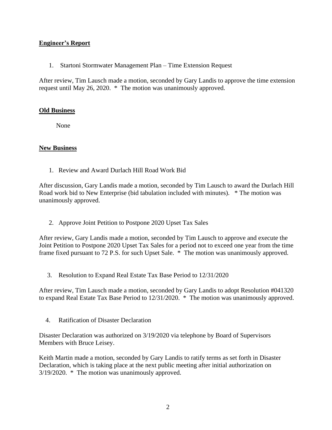# **Engineer's Report**

1. Startoni Stormwater Management Plan – Time Extension Request

After review, Tim Lausch made a motion, seconded by Gary Landis to approve the time extension request until May 26, 2020. \* The motion was unanimously approved.

## **Old Business**

None

## **New Business**

1. Review and Award Durlach Hill Road Work Bid

After discussion, Gary Landis made a motion, seconded by Tim Lausch to award the Durlach Hill Road work bid to New Enterprise (bid tabulation included with minutes). \* The motion was unanimously approved.

2. Approve Joint Petition to Postpone 2020 Upset Tax Sales

After review, Gary Landis made a motion, seconded by Tim Lausch to approve and execute the Joint Petition to Postpone 2020 Upset Tax Sales for a period not to exceed one year from the time frame fixed pursuant to 72 P.S. for such Upset Sale. \* The motion was unanimously approved.

3. Resolution to Expand Real Estate Tax Base Period to 12/31/2020

After review, Tim Lausch made a motion, seconded by Gary Landis to adopt Resolution #041320 to expand Real Estate Tax Base Period to 12/31/2020. \* The motion was unanimously approved.

4. Ratification of Disaster Declaration

Disaster Declaration was authorized on 3/19/2020 via telephone by Board of Supervisors Members with Bruce Leisey.

Keith Martin made a motion, seconded by Gary Landis to ratify terms as set forth in Disaster Declaration, which is taking place at the next public meeting after initial authorization on 3/19/2020. \* The motion was unanimously approved.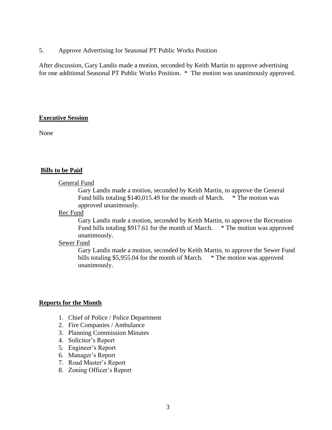5. Approve Advertising for Seasonal PT Public Works Position

After discussion, Gary Landis made a motion, seconded by Keith Martin to approve advertising for one additional Seasonal PT Public Works Position. \* The motion was unanimously approved.

## **Executive Session**

None

## **Bills to be Paid**

#### General Fund

Gary Landis made a motion, seconded by Keith Martin, to approve the General Fund bills totaling \$140,015.49 for the month of March. \* The motion was approved unanimously.

#### Rec Fund

Gary Landis made a motion, seconded by Keith Martin, to approve the Recreation Fund bills totaling \$917.61 for the month of March. \* The motion was approved unanimously.

#### Sewer Fund

Gary Landis made a motion, seconded by Keith Martin, to approve the Sewer Fund bills totaling \$5,955.04 for the month of March. \* The motion was approved unanimously.

#### **Reports for the Month**

- 1. Chief of Police / Police Department
- 2. Fire Companies / Ambulance
- 3. Planning Commission Minutes
- 4. Solicitor's Report
- 5. Engineer's Report
- 6. Manager's Report
- 7. Road Master's Report
- 8. Zoning Officer's Report